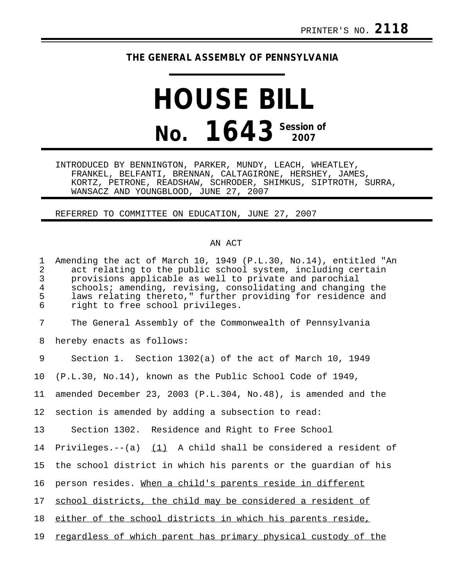## **THE GENERAL ASSEMBLY OF PENNSYLVANIA**

## **HOUSE BILL No. 1643 Session of**

INTRODUCED BY BENNINGTON, PARKER, MUNDY, LEACH, WHEATLEY, FRANKEL, BELFANTI, BRENNAN, CALTAGIRONE, HERSHEY, JAMES, KORTZ, PETRONE, READSHAW, SCHRODER, SHIMKUS, SIPTROTH, SURRA, WANSACZ AND YOUNGBLOOD, JUNE 27, 2007

REFERRED TO COMMITTEE ON EDUCATION, JUNE 27, 2007

## AN ACT

| $\mathbf 1$<br>$\overline{2}$<br>$\mathfrak{Z}$<br>$\overline{4}$<br>5<br>6 | Amending the act of March 10, 1949 (P.L.30, No.14), entitled "An<br>act relating to the public school system, including certain<br>provisions applicable as well to private and parochial<br>schools; amending, revising, consolidating and changing the<br>laws relating thereto," further providing for residence and<br>right to free school privileges. |
|-----------------------------------------------------------------------------|-------------------------------------------------------------------------------------------------------------------------------------------------------------------------------------------------------------------------------------------------------------------------------------------------------------------------------------------------------------|
| 7                                                                           | The General Assembly of the Commonwealth of Pennsylvania                                                                                                                                                                                                                                                                                                    |
| 8                                                                           | hereby enacts as follows:                                                                                                                                                                                                                                                                                                                                   |
| 9                                                                           | Section 1. Section 1302(a) of the act of March 10, 1949                                                                                                                                                                                                                                                                                                     |
| 10                                                                          | (P.L.30, No.14), known as the Public School Code of 1949,                                                                                                                                                                                                                                                                                                   |
| 11                                                                          | amended December 23, 2003 (P.L.304, No.48), is amended and the                                                                                                                                                                                                                                                                                              |
| 12                                                                          | section is amended by adding a subsection to read:                                                                                                                                                                                                                                                                                                          |
| 13                                                                          | Section 1302. Residence and Right to Free School                                                                                                                                                                                                                                                                                                            |
| 14                                                                          | Privileges.-- $(a)$ (1) A child shall be considered a resident of                                                                                                                                                                                                                                                                                           |
| 15                                                                          | the school district in which his parents or the quardian of his                                                                                                                                                                                                                                                                                             |
| 16                                                                          | person resides. When a child's parents reside in different                                                                                                                                                                                                                                                                                                  |
| 17                                                                          | school districts, the child may be considered a resident of                                                                                                                                                                                                                                                                                                 |
| 18                                                                          | either of the school districts in which his parents reside,                                                                                                                                                                                                                                                                                                 |
| 19                                                                          | regardless of which parent has primary physical custody of the                                                                                                                                                                                                                                                                                              |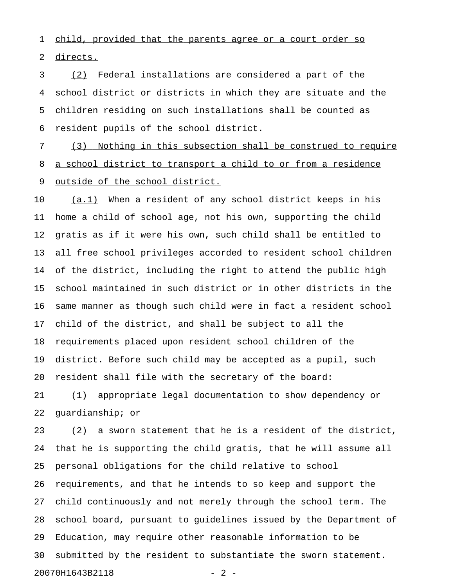1 child, provided that the parents agree or a court order so 2 directs.

3 (2) Federal installations are considered a part of the 4 school district or districts in which they are situate and the 5 children residing on such installations shall be counted as 6 resident pupils of the school district.

7 (3) Nothing in this subsection shall be construed to require 8 a school district to transport a child to or from a residence 9 outside of the school district.

10 (a.1) When a resident of any school district keeps in his 11 home a child of school age, not his own, supporting the child 12 gratis as if it were his own, such child shall be entitled to 13 all free school privileges accorded to resident school children 14 of the district, including the right to attend the public high 15 school maintained in such district or in other districts in the 16 same manner as though such child were in fact a resident school 17 child of the district, and shall be subject to all the 18 requirements placed upon resident school children of the 19 district. Before such child may be accepted as a pupil, such 20 resident shall file with the secretary of the board:

21 (1) appropriate legal documentation to show dependency or 22 guardianship; or

23 (2) a sworn statement that he is a resident of the district, 24 that he is supporting the child gratis, that he will assume all 25 personal obligations for the child relative to school 26 requirements, and that he intends to so keep and support the 27 child continuously and not merely through the school term. The 28 school board, pursuant to guidelines issued by the Department of 29 Education, may require other reasonable information to be 30 submitted by the resident to substantiate the sworn statement. 20070H1643B2118 - 2 -